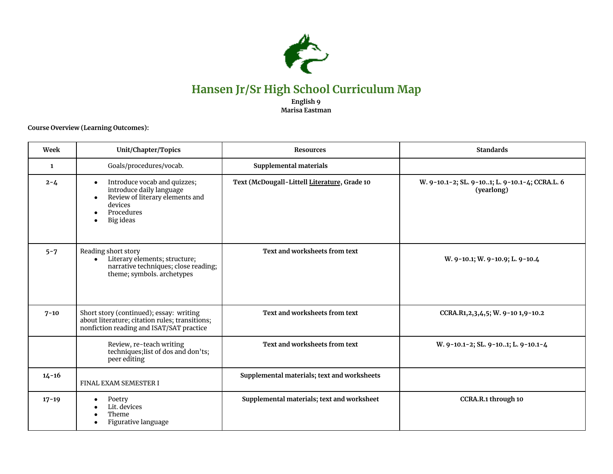

## **Hansen Jr/Sr High School Curriculum Map**

**English 9 Marisa Eastman**

**Course Overview (Learning Outcomes):**

| Week      | Unit/Chapter/Topics                                                                                                                                         | <b>Resources</b>                             | <b>Standards</b>                                             |
|-----------|-------------------------------------------------------------------------------------------------------------------------------------------------------------|----------------------------------------------|--------------------------------------------------------------|
| 1         | Goals/procedures/vocab.                                                                                                                                     | Supplemental materials                       |                                                              |
| $2 - 4$   | Introduce vocab and quizzes;<br>$\bullet$<br>introduce daily language<br>Review of literary elements and<br>$\bullet$<br>devices<br>Procedures<br>Big ideas | Text (McDougall-Littell Literature, Grade 10 | W. 9-10.1-2; SL. 9-101; L. 9-10.1-4; CCRA.L. 6<br>(yearlong) |
| $5 - 7$   | Reading short story<br>Literary elements; structure;<br>narrative techniques; close reading;<br>theme; symbols. archetypes                                  | Text and worksheets from text                | W. 9-10.1; W. 9-10.9; L. 9-10.4                              |
| $7 - 10$  | Short story (continued); essay: writing<br>about literature; citation rules; transitions;<br>nonfiction reading and ISAT/SAT practice                       | Text and worksheets from text                | CCRA.R1,2,3,4,5; W. 9-10 1,9-10.2                            |
|           | Review, re-teach writing<br>techniques; list of dos and don'ts;<br>peer editing                                                                             | Text and worksheets from text                | W. 9-10.1-2; SL. 9-101; L. 9-10.1-4                          |
| $14 - 16$ | FINAL EXAM SEMESTER I                                                                                                                                       | Supplemental materials; text and worksheets  |                                                              |
| $17 - 19$ | Poetry<br>Lit. devices<br>Theme<br>Figurative language                                                                                                      | Supplemental materials; text and worksheet   | CCRA.R.1 through 10                                          |